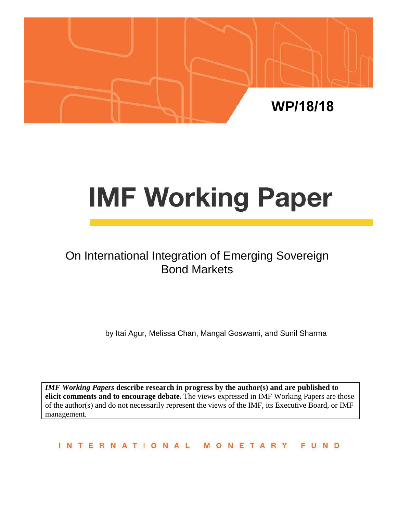

# **IMF Working Paper**

# On International Integration of Emerging Sovereign Bond Markets

by Itai Agur, Melissa Chan, Mangal Goswami, and Sunil Sharma

*IMF Working Papers* **describe research in progress by the author(s) and are published to elicit comments and to encourage debate.** The views expressed in IMF Working Papers are those of the author(s) and do not necessarily represent the views of the IMF, its Executive Board, or IMF management.

**INTERNATIONAL** MONETARY FUND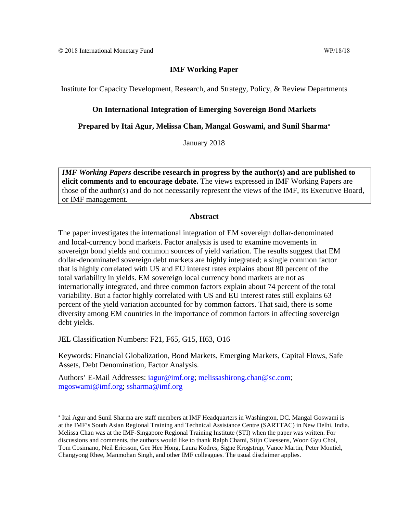#### **IMF Working Paper**

Institute for Capacity Development, Research, and Strategy, Policy, & Review Departments

#### **On International Integration of Emerging Sovereign Bond Markets**

**Prepared by Itai Agur, Melissa Chan, Mangal Goswami, and Sunil Sharma**[∗](#page-1-0)

January 2018

*IMF Working Papers* **describe research in progress by the author(s) and are published to elicit comments and to encourage debate.** The views expressed in IMF Working Papers are those of the author(s) and do not necessarily represent the views of the IMF, its Executive Board, or IMF management.

#### **Abstract**

The paper investigates the international integration of EM sovereign dollar-denominated and local-currency bond markets. Factor analysis is used to examine movements in sovereign bond yields and common sources of yield variation. The results suggest that EM dollar-denominated sovereign debt markets are highly integrated; a single common factor that is highly correlated with US and EU interest rates explains about 80 percent of the total variability in yields. EM sovereign local currency bond markets are not as internationally integrated, and three common factors explain about 74 percent of the total variability. But a factor highly correlated with US and EU interest rates still explains 63 percent of the yield variation accounted for by common factors. That said, there is some diversity among EM countries in the importance of common factors in affecting sovereign debt yields.

JEL Classification Numbers: F21, F65, G15, H63, O16

Keywords: Financial Globalization, Bond Markets, Emerging Markets, Capital Flows, Safe Assets, Debt Denomination, Factor Analysis.

Authors' E-Mail Addresses: [iagur@imf.org;](mailto:iagur@imf.org) [melissashirong.chan@sc.com;](mailto:melissashirong.chan@sc.com) [mgoswami@imf.org;](mailto:mgoswami@imf.org) [ssharma@imf.org](mailto:ssharma@imf.org)

<span id="page-1-0"></span><sup>∗</sup> Itai Agur and Sunil Sharma are staff members at IMF Headquarters in Washington, DC. Mangal Goswami is at the IMF's South Asian Regional Training and Technical Assistance Centre (SARTTAC) in New Delhi, India. Melissa Chan was at the IMF-Singapore Regional Training Institute (STI) when the paper was written. For discussions and comments, the authors would like to thank Ralph Chami, Stijn Claessens, Woon Gyu Choi, Tom Cosimano, Neil Ericsson, Gee Hee Hong, Laura Kodres, Signe Krogstrup, Vance Martin, Peter Montiel, Changyong Rhee, Manmohan Singh, and other IMF colleagues. The usual disclaimer applies.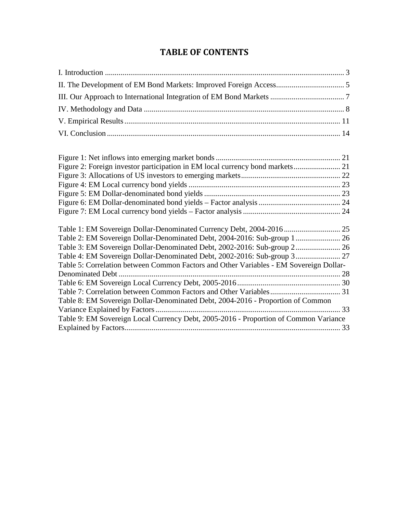## **TABLE OF CONTENTS**

| Table 1: EM Sovereign Dollar-Denominated Currency Debt, 2004-2016 25                   |    |
|----------------------------------------------------------------------------------------|----|
| Table 2: EM Sovereign Dollar-Denominated Debt, 2004-2016: Sub-group 1 26               |    |
| Table 3: EM Sovereign Dollar-Denominated Debt, 2002-2016: Sub-group 2 26               |    |
|                                                                                        |    |
| Table 5: Correlation between Common Factors and Other Variables - EM Sovereign Dollar- |    |
|                                                                                        |    |
|                                                                                        |    |
|                                                                                        |    |
| Table 8: EM Sovereign Dollar-Denominated Debt, 2004-2016 - Proportion of Common        |    |
|                                                                                        |    |
| Table 9: EM Sovereign Local Currency Debt, 2005-2016 - Proportion of Common Variance   |    |
|                                                                                        | 33 |
|                                                                                        |    |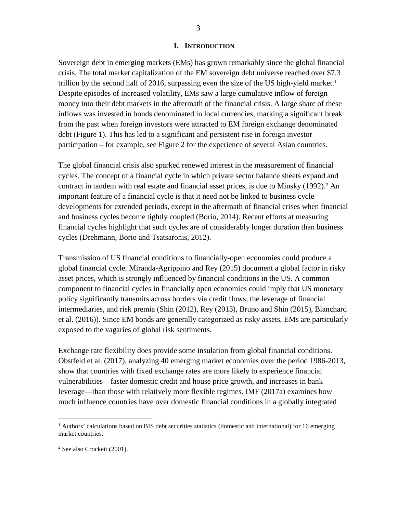#### **I. INTRODUCTION**

<span id="page-3-0"></span>Sovereign debt in emerging markets (EMs) has grown remarkably since the global financial crisis. The total market capitalization of the EM sovereign debt universe reached over \$7.3 trillion by the second half of 20[1](#page-3-1)6, surpassing even the size of the US high-yield market.<sup>1</sup> Despite episodes of increased volatility, EMs saw a large cumulative inflow of foreign money into their debt markets in the aftermath of the financial crisis. A large share of these inflows was invested in bonds denominated in local currencies, marking a significant break from the past when foreign investors were attracted to EM foreign exchange denominated debt (Figure 1). This has led to a significant and persistent rise in foreign investor participation – for example, see Figure 2 for the experience of several Asian countries.

The global financial crisis also sparked renewed interest in the measurement of financial cycles. The concept of a financial cycle in which private sector balance sheets expand and contract in tandem with real estate and financial asset prices, is due to Minsky (199[2](#page-3-2)).<sup>2</sup> An important feature of a financial cycle is that it need not be linked to business cycle developments for extended periods, except in the aftermath of financial crises when financial and business cycles become tightly coupled (Borio, 2014). Recent efforts at measuring financial cycles highlight that such cycles are of considerably longer duration than business cycles (Drehmann, Borio and Tsatsaronis, 2012).

Transmission of US financial conditions to financially-open economies could produce a global financial cycle. Miranda-Agrippino and Rey (2015) document a global factor in risky asset prices, which is strongly influenced by financial conditions in the US. A common component to financial cycles in financially open economies could imply that US monetary policy significantly transmits across borders via credit flows, the leverage of financial intermediaries, and risk premia (Shin (2012), Rey (2013), Bruno and Shin (2015), Blanchard et al. (2016)). Since EM bonds are generally categorized as risky assets, EMs are particularly exposed to the vagaries of global risk sentiments.

Exchange rate flexibility does provide some insulation from global financial conditions. Obstfeld et al. (2017), analyzing 40 emerging market economies over the period 1986-2013, show that countries with fixed exchange rates are more likely to experience financial vulnerabilities—faster domestic credit and house price growth, and increases in bank leverage—than those with relatively more flexible regimes. IMF (2017a) examines how much influence countries have over domestic financial conditions in a globally integrated

<span id="page-3-1"></span> $<sup>1</sup>$  Authors' calculations based on BIS debt securities statistics (domestic and international) for 16 emerging</sup> market countries.

<span id="page-3-2"></span><sup>2</sup> See also Crockett (2001).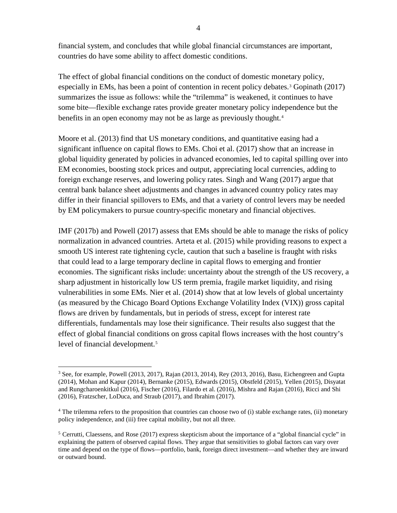financial system, and concludes that while global financial circumstances are important, countries do have some ability to affect domestic conditions.

The effect of global financial conditions on the conduct of domestic monetary policy, especially in EMs, has been a point of contention in recent policy debates.<sup>[3](#page-4-0)</sup> Gopinath (2017) summarizes the issue as follows: while the "trilemma" is weakened, it continues to have some bite—flexible exchange rates provide greater monetary policy independence but the benefits in an open economy may not be as large as previously thought.<sup>[4](#page-4-1)</sup>

Moore et al. (2013) find that US monetary conditions, and quantitative easing had a significant influence on capital flows to EMs. Choi et al. (2017) show that an increase in global liquidity generated by policies in advanced economies, led to capital spilling over into EM economies, boosting stock prices and output, appreciating local currencies, adding to foreign exchange reserves, and lowering policy rates. Singh and Wang (2017) argue that central bank balance sheet adjustments and changes in advanced country policy rates may differ in their financial spillovers to EMs, and that a variety of control levers may be needed by EM policymakers to pursue country-specific monetary and financial objectives.

IMF (2017b) and Powell (2017) assess that EMs should be able to manage the risks of policy normalization in advanced countries. Arteta et al. (2015) while providing reasons to expect a smooth US interest rate tightening cycle, caution that such a baseline is fraught with risks that could lead to a large temporary decline in capital flows to emerging and frontier economies. The significant risks include: uncertainty about the strength of the US recovery, a sharp adjustment in historically low US term premia, fragile market liquidity, and rising vulnerabilities in some EMs. Nier et al. (2014) show that at low levels of global uncertainty (as measured by the Chicago Board Options Exchange Volatility Index (VIX)) gross capital flows are driven by fundamentals, but in periods of stress, except for interest rate differentials, fundamentals may lose their significance. Their results also suggest that the effect of global financial conditions on gross capital flows increases with the host country's level of financial development.<sup>[5](#page-4-2)</sup>

<span id="page-4-0"></span><sup>&</sup>lt;sup>3</sup> See, for example, Powell (2013, 2017), Rajan (2013, 2014), Rey (2013, 2016), Basu, Eichengreen and Gupta (2014), Mohan and Kapur (2014), Bernanke (2015), Edwards (2015), Obstfeld (2015), Yellen (2015), Disyatat and Rungcharoenkitkul (2016), Fischer (2016), Filardo et al. (2016), Mishra and Rajan (2016), Ricci and Shi (2016), Fratzscher, LoDuca, and Straub (2017), and Ibrahim (2017).

<span id="page-4-1"></span> $4$  The trilemma refers to the proposition that countries can choose two of (i) stable exchange rates, (ii) monetary policy independence, and (iii) free capital mobility, but not all three.

<span id="page-4-2"></span><sup>&</sup>lt;sup>5</sup> Cerrutti, Claessens, and Rose (2017) express skepticism about the importance of a "global financial cycle" in explaining the pattern of observed capital flows. They argue that sensitivities to global factors can vary over time and depend on the type of flows—portfolio, bank, foreign direct investment—and whether they are inward or outward bound.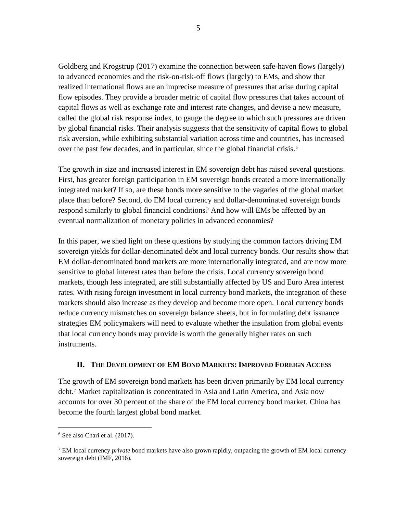Goldberg and Krogstrup (2017) examine the connection between safe-haven flows (largely) to advanced economies and the risk-on-risk-off flows (largely) to EMs, and show that realized international flows are an imprecise measure of pressures that arise during capital flow episodes. They provide a broader metric of capital flow pressures that takes account of capital flows as well as exchange rate and interest rate changes, and devise a new measure, called the global risk response index, to gauge the degree to which such pressures are driven by global financial risks. Their analysis suggests that the sensitivity of capital flows to global risk aversion, while exhibiting substantial variation across time and countries, has increased over the past few decades, and in particular, since the global financial crisis.<sup>[6](#page-5-1)</sup>

The growth in size and increased interest in EM sovereign debt has raised several questions. First, has greater foreign participation in EM sovereign bonds created a more internationally integrated market? If so, are these bonds more sensitive to the vagaries of the global market place than before? Second, do EM local currency and dollar-denominated sovereign bonds respond similarly to global financial conditions? And how will EMs be affected by an eventual normalization of monetary policies in advanced economies?

In this paper, we shed light on these questions by studying the common factors driving EM sovereign yields for dollar-denominated debt and local currency bonds. Our results show that EM dollar-denominated bond markets are more internationally integrated, and are now more sensitive to global interest rates than before the crisis. Local currency sovereign bond markets, though less integrated, are still substantially affected by US and Euro Area interest rates. With rising foreign investment in local currency bond markets, the integration of these markets should also increase as they develop and become more open. Local currency bonds reduce currency mismatches on sovereign balance sheets, but in formulating debt issuance strategies EM policymakers will need to evaluate whether the insulation from global events that local currency bonds may provide is worth the generally higher rates on such instruments.

#### **II. THE DEVELOPMENT OF EM BOND MARKETS: IMPROVED FOREIGN ACCESS**

<span id="page-5-0"></span>The growth of EM sovereign bond markets has been driven primarily by EM local currency debt.[7](#page-5-2) Market capitalization is concentrated in Asia and Latin America, and Asia now accounts for over 30 percent of the share of the EM local currency bond market. China has become the fourth largest global bond market.

<span id="page-5-1"></span> $6$  See also Chari et al.  $(2017)$ .

<span id="page-5-2"></span><sup>7</sup> EM local currency *private* bond markets have also grown rapidly, outpacing the growth of EM local currency sovereign debt (IMF, 2016).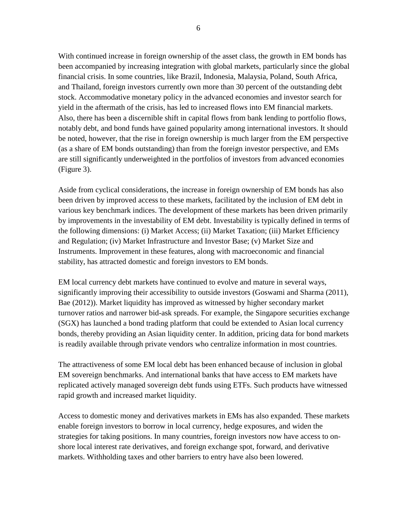With continued increase in foreign ownership of the asset class, the growth in EM bonds has been accompanied by increasing integration with global markets, particularly since the global financial crisis. In some countries, like Brazil, Indonesia, Malaysia, Poland, South Africa, and Thailand, foreign investors currently own more than 30 percent of the outstanding debt stock. Accommodative monetary policy in the advanced economies and investor search for yield in the aftermath of the crisis, has led to increased flows into EM financial markets. Also, there has been a discernible shift in capital flows from bank lending to portfolio flows, notably debt, and bond funds have gained popularity among international investors. It should be noted, however, that the rise in foreign ownership is much larger from the EM perspective (as a share of EM bonds outstanding) than from the foreign investor perspective, and EMs are still significantly underweighted in the portfolios of investors from advanced economies (Figure 3).

Aside from cyclical considerations, the increase in foreign ownership of EM bonds has also been driven by improved access to these markets, facilitated by the inclusion of EM debt in various key benchmark indices. The development of these markets has been driven primarily by improvements in the investability of EM debt. Investability is typically defined in terms of the following dimensions: (i) Market Access; (ii) Market Taxation; (iii) Market Efficiency and Regulation; (iv) Market Infrastructure and Investor Base; (v) Market Size and Instruments. Improvement in these features, along with macroeconomic and financial stability, has attracted domestic and foreign investors to EM bonds.

EM local currency debt markets have continued to evolve and mature in several ways, significantly improving their accessibility to outside investors (Goswami and Sharma (2011), Bae (2012)). Market liquidity has improved as witnessed by higher secondary market turnover ratios and narrower bid-ask spreads. For example, the Singapore securities exchange (SGX) has launched a bond trading platform that could be extended to Asian local currency bonds, thereby providing an Asian liquidity center. In addition, pricing data for bond markets is readily available through private vendors who centralize information in most countries.

The attractiveness of some EM local debt has been enhanced because of inclusion in global EM sovereign benchmarks. And international banks that have access to EM markets have replicated actively managed sovereign debt funds using ETFs. Such products have witnessed rapid growth and increased market liquidity.

Access to domestic money and derivatives markets in EMs has also expanded. These markets enable foreign investors to borrow in local currency, hedge exposures, and widen the strategies for taking positions. In many countries, foreign investors now have access to onshore local interest rate derivatives, and foreign exchange spot, forward, and derivative markets. Withholding taxes and other barriers to entry have also been lowered.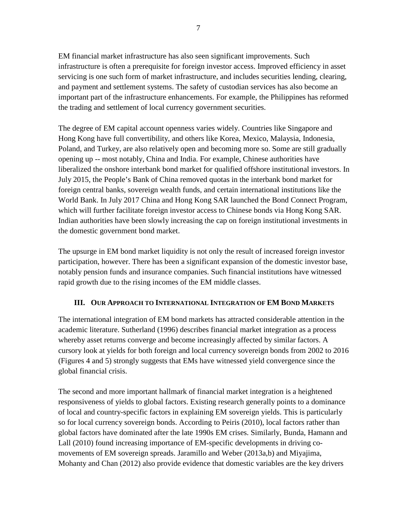EM financial market infrastructure has also seen significant improvements. Such infrastructure is often a prerequisite for foreign investor access. Improved efficiency in asset servicing is one such form of market infrastructure, and includes securities lending, clearing, and payment and settlement systems. The safety of custodian services has also become an important part of the infrastructure enhancements. For example, the Philippines has reformed the trading and settlement of local currency government securities.

The degree of EM capital account openness varies widely. Countries like Singapore and Hong Kong have full convertibility, and others like Korea, Mexico, Malaysia, Indonesia, Poland, and Turkey, are also relatively open and becoming more so. Some are still gradually opening up -- most notably, China and India. For example, Chinese authorities have liberalized the onshore interbank bond market for qualified offshore institutional investors. In July 2015, the People's Bank of China removed quotas in the interbank bond market for foreign central banks, sovereign wealth funds, and certain international institutions like the World Bank. In July 2017 China and Hong Kong SAR launched the Bond Connect Program, which will further facilitate foreign investor access to Chinese bonds via Hong Kong SAR. Indian authorities have been slowly increasing the cap on foreign institutional investments in the domestic government bond market.

The upsurge in EM bond market liquidity is not only the result of increased foreign investor participation, however. There has been a significant expansion of the domestic investor base, notably pension funds and insurance companies. Such financial institutions have witnessed rapid growth due to the rising incomes of the EM middle classes.

#### <span id="page-7-0"></span>**III. OUR APPROACH TO INTERNATIONAL INTEGRATION OF EM BOND MARKETS**

The international integration of EM bond markets has attracted considerable attention in the academic literature. Sutherland (1996) describes financial market integration as a process whereby asset returns converge and become increasingly affected by similar factors. A cursory look at yields for both foreign and local currency sovereign bonds from 2002 to 2016 (Figures 4 and 5) strongly suggests that EMs have witnessed yield convergence since the global financial crisis.

The second and more important hallmark of financial market integration is a heightened responsiveness of yields to global factors. Existing research generally points to a dominance of local and country-specific factors in explaining EM sovereign yields. This is particularly so for local currency sovereign bonds. According to Peiris (2010), local factors rather than global factors have dominated after the late 1990s EM crises. Similarly, Bunda, Hamann and Lall (2010) found increasing importance of EM-specific developments in driving comovements of EM sovereign spreads. Jaramillo and Weber (2013a,b) and Miyajima, Mohanty and Chan (2012) also provide evidence that domestic variables are the key drivers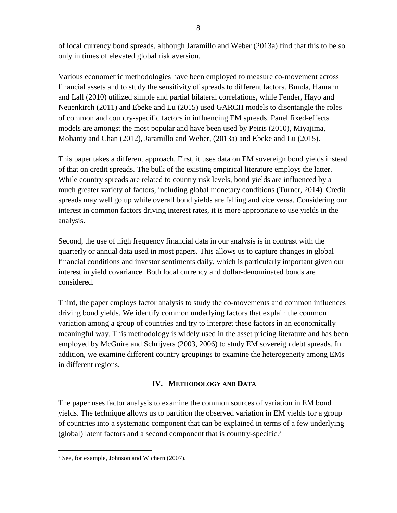of local currency bond spreads, although Jaramillo and Weber (2013a) find that this to be so only in times of elevated global risk aversion.

Various econometric methodologies have been employed to measure co-movement across financial assets and to study the sensitivity of spreads to different factors. Bunda, Hamann and Lall (2010) utilized simple and partial bilateral correlations, while Fender, Hayo and Neuenkirch (2011) and Ebeke and Lu (2015) used GARCH models to disentangle the roles of common and country-specific factors in influencing EM spreads. Panel fixed-effects models are amongst the most popular and have been used by Peiris (2010), Miyajima, Mohanty and Chan (2012), Jaramillo and Weber, (2013a) and Ebeke and Lu (2015).

This paper takes a different approach. First, it uses data on EM sovereign bond yields instead of that on credit spreads. The bulk of the existing empirical literature employs the latter. While country spreads are related to country risk levels, bond yields are influenced by a much greater variety of factors, including global monetary conditions (Turner, 2014). Credit spreads may well go up while overall bond yields are falling and vice versa. Considering our interest in common factors driving interest rates, it is more appropriate to use yields in the analysis.

Second, the use of high frequency financial data in our analysis is in contrast with the quarterly or annual data used in most papers. This allows us to capture changes in global financial conditions and investor sentiments daily, which is particularly important given our interest in yield covariance. Both local currency and dollar-denominated bonds are considered.

Third, the paper employs factor analysis to study the co-movements and common influences driving bond yields. We identify common underlying factors that explain the common variation among a group of countries and try to interpret these factors in an economically meaningful way. This methodology is widely used in the asset pricing literature and has been employed by McGuire and Schrijvers (2003, 2006) to study EM sovereign debt spreads. In addition, we examine different country groupings to examine the heterogeneity among EMs in different regions.

#### **IV. METHODOLOGY AND DATA**

<span id="page-8-0"></span>The paper uses factor analysis to examine the common sources of variation in EM bond yields. The technique allows us to partition the observed variation in EM yields for a group of countries into a systematic component that can be explained in terms of a few underlying (global) latent factors and a second component that is country-specific.[8](#page-8-1)

<span id="page-8-1"></span> <sup>8</sup> See, for example, Johnson and Wichern (2007).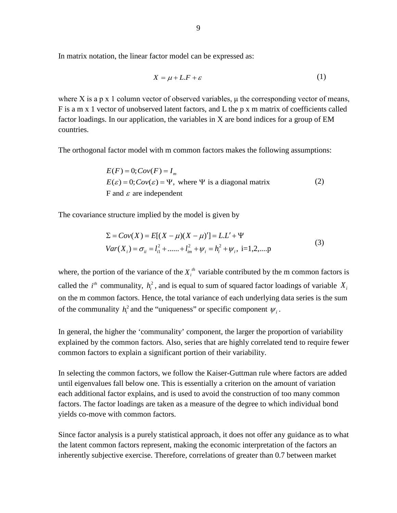In matrix notation, the linear factor model can be expressed as:

$$
X = \mu + L \cdot F + \varepsilon \tag{1}
$$

where X is a p x 1 column vector of observed variables,  $\mu$  the corresponding vector of means, F is a m x 1 vector of unobserved latent factors, and L the p x m matrix of coefficients called factor loadings. In our application, the variables in X are bond indices for a group of EM countries.

The orthogonal factor model with m common factors makes the following assumptions:

 $E(F) = 0$ ;  $Cov(F) = I_m$  $E(\varepsilon) = 0$ ;  $Cov(\varepsilon) = \Psi$ , where  $\Psi$  is a diagonal matrix (2) F and  $\varepsilon$  are independent

The covariance structure implied by the model is given by

$$
\Sigma = Cov(X) = E[(X - \mu)(X - \mu)'] = L.L' + \Psi
$$
  
\n
$$
Var(X_i) = \sigma_{ii} = l_{i1}^2 + \dots + l_{im}^2 + \psi_i = h_i^2 + \psi_i, \text{ i=1,2,...,p}
$$
\n(3)

where, the portion of the variance of the  $X_i^{\text{th}}$  variable contributed by the m common factors is called the  $i^{\text{th}}$  communality,  $h_i^2$ , and is equal to sum of squared factor loadings of variable  $X_i$ on the m common factors. Hence, the total variance of each underlying data series is the sum of the communality  $h_i^2$  and the "uniqueness" or specific component  $\psi_i$ .

In general, the higher the 'communality' component, the larger the proportion of variability explained by the common factors. Also, series that are highly correlated tend to require fewer common factors to explain a significant portion of their variability.

In selecting the common factors, we follow the Kaiser-Guttman rule where factors are added until eigenvalues fall below one. This is essentially a criterion on the amount of variation each additional factor explains, and is used to avoid the construction of too many common factors. The factor loadings are taken as a measure of the degree to which individual bond yields co-move with common factors.

Since factor analysis is a purely statistical approach, it does not offer any guidance as to what the latent common factors represent, making the economic interpretation of the factors an inherently subjective exercise. Therefore, correlations of greater than 0.7 between market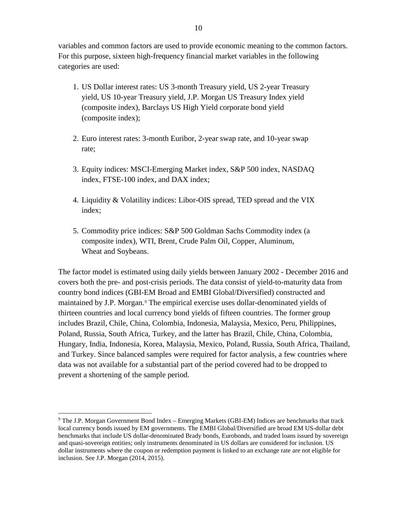variables and common factors are used to provide economic meaning to the common factors. For this purpose, sixteen high-frequency financial market variables in the following categories are used:

- 1. US Dollar interest rates: US 3-month Treasury yield, US 2-year Treasury yield, US 10-year Treasury yield, J.P. Morgan US Treasury Index yield (composite index), Barclays US High Yield corporate bond yield (composite index);
- 2. Euro interest rates: 3-month Euribor, 2-year swap rate, and 10-year swap rate;
- 3. Equity indices: MSCI-Emerging Market index, S&P 500 index, NASDAQ index, FTSE-100 index, and DAX index;
- 4. Liquidity & Volatility indices: Libor-OIS spread, TED spread and the VIX index;
- 5. Commodity price indices: S&P 500 Goldman Sachs Commodity index (a composite index), WTI, Brent, Crude Palm Oil, Copper, Aluminum, Wheat and Soybeans.

The factor model is estimated using daily yields between January 2002 - December 2016 and covers both the pre- and post-crisis periods. The data consist of yield-to-maturity data from country bond indices (GBI-EM Broad and EMBI Global/Diversified) constructed and maintained by J.P. Morgan.<sup>[9](#page-10-0)</sup> The empirical exercise uses dollar-denominated yields of thirteen countries and local currency bond yields of fifteen countries. The former group includes Brazil, Chile, China, Colombia, Indonesia, Malaysia, Mexico, Peru, Philippines, Poland, Russia, South Africa, Turkey, and the latter has Brazil, Chile, China, Colombia, Hungary, India, Indonesia, Korea, Malaysia, Mexico, Poland, Russia, South Africa, Thailand, and Turkey. Since balanced samples were required for factor analysis, a few countries where data was not available for a substantial part of the period covered had to be dropped to prevent a shortening of the sample period.

<span id="page-10-0"></span> <sup>9</sup> The J.P. Morgan Government Bond Index – Emerging Markets (GBI-EM) Indices are benchmarks that track local currency bonds issued by EM governments. The EMBI Global/Diversified are broad EM US-dollar debt benchmarks that include US dollar-denominated Brady bonds, Eurobonds, and traded loans issued by sovereign and quasi-sovereign entities; only instruments denominated in US dollars are considered for inclusion. US dollar instruments where the coupon or redemption payment is linked to an exchange rate are not eligible for inclusion. See J.P. Morgan (2014, 2015).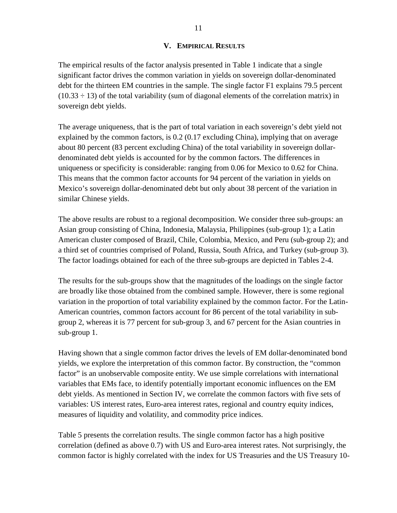#### **V. EMPIRICAL RESULTS**

<span id="page-11-0"></span>The empirical results of the factor analysis presented in Table 1 indicate that a single significant factor drives the common variation in yields on sovereign dollar-denominated debt for the thirteen EM countries in the sample. The single factor F1 explains 79.5 percent  $(10.33 \div 13)$  of the total variability (sum of diagonal elements of the correlation matrix) in sovereign debt yields.

The average uniqueness, that is the part of total variation in each sovereign's debt yield not explained by the common factors, is 0.2 (0.17 excluding China), implying that on average about 80 percent (83 percent excluding China) of the total variability in sovereign dollardenominated debt yields is accounted for by the common factors. The differences in uniqueness or specificity is considerable: ranging from 0.06 for Mexico to 0.62 for China. This means that the common factor accounts for 94 percent of the variation in yields on Mexico's sovereign dollar-denominated debt but only about 38 percent of the variation in similar Chinese yields.

The above results are robust to a regional decomposition. We consider three sub-groups: an Asian group consisting of China, Indonesia, Malaysia, Philippines (sub-group 1); a Latin American cluster composed of Brazil, Chile, Colombia, Mexico, and Peru (sub-group 2); and a third set of countries comprised of Poland, Russia, South Africa, and Turkey (sub-group 3). The factor loadings obtained for each of the three sub-groups are depicted in Tables 2-4.

The results for the sub-groups show that the magnitudes of the loadings on the single factor are broadly like those obtained from the combined sample. However, there is some regional variation in the proportion of total variability explained by the common factor. For the Latin-American countries, common factors account for 86 percent of the total variability in subgroup 2, whereas it is 77 percent for sub-group 3, and 67 percent for the Asian countries in sub-group 1.

Having shown that a single common factor drives the levels of EM dollar-denominated bond yields, we explore the interpretation of this common factor. By construction, the "common factor" is an unobservable composite entity. We use simple correlations with international variables that EMs face, to identify potentially important economic influences on the EM debt yields. As mentioned in Section IV, we correlate the common factors with five sets of variables: US interest rates, Euro-area interest rates, regional and country equity indices, measures of liquidity and volatility, and commodity price indices.

Table 5 presents the correlation results. The single common factor has a high positive correlation (defined as above 0.7) with US and Euro-area interest rates. Not surprisingly, the common factor is highly correlated with the index for US Treasuries and the US Treasury 10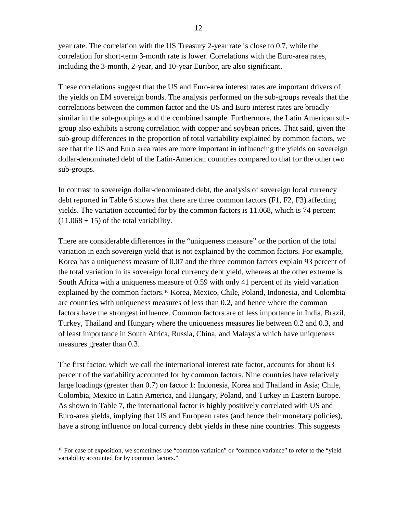year rate. The correlation with the US Treasury 2-year rate is close to 0.7, while the correlation for short-term 3-month rate is lower. Correlations with the Euro-area rates, including the 3-month, 2-year, and 10-year Euribor, are also significant.

These correlations suggest that the US and Euro-area interest rates are important drivers of the yields on EM sovereign bonds. The analysis performed on the sub-groups reveals that the correlations between the common factor and the US and Euro interest rates are broadly similar in the sub-groupings and the combined sample. Furthermore, the Latin American subgroup also exhibits a strong correlation with copper and soybean prices. That said, given the sub-group differences in the proportion of total variability explained by common factors, we see that the US and Euro area rates are more important in influencing the yields on sovereign dollar-denominated debt of the Latin-American countries compared to that for the other two sub-groups.

In contrast to sovereign dollar-denominated debt, the analysis of sovereign local currency debt reported in Table 6 shows that there are three common factors (F1, F2, F3) affecting yields. The variation accounted for by the common factors is 11.068, which is 74 percent  $(11.068 \div 15)$  of the total variability.

There are considerable differences in the "uniqueness measure" or the portion of the total variation in each sovereign yield that is not explained by the common factors. For example, Korea has a uniqueness measure of 0.07 and the three common factors explain 93 percent of the total variation in its sovereign local currency debt yield, whereas at the other extreme is South Africa with a uniqueness measure of 0.59 with only 41 percent of its yield variation explained by the common factors.<sup>[10](#page-12-0)</sup> Korea, Mexico, Chile, Poland, Indonesia, and Colombia are countries with uniqueness measures of less than 0.2, and hence where the common factors have the strongest influence. Common factors are of less importance in India, Brazil, Turkey, Thailand and Hungary where the uniqueness measures lie between 0.2 and 0.3, and of least importance in South Africa, Russia, China, and Malaysia which have uniqueness measures greater than 0.3.

The first factor, which we call the international interest rate factor, accounts for about 63 percent of the variability accounted for by common factors. Nine countries have relatively large loadings (greater than 0.7) on factor 1: Indonesia, Korea and Thailand in Asia; Chile, Colombia, Mexico in Latin America, and Hungary, Poland, and Turkey in Eastern Europe. As shown in Table 7, the international factor is highly positively correlated with US and Euro-area yields, implying that US and European rates (and hence their monetary policies), have a strong influence on local currency debt yields in these nine countries. This suggests

<span id="page-12-0"></span><sup>&</sup>lt;sup>10</sup> For ease of exposition, we sometimes use "common variation" or "common variance" to refer to the "yield variability accounted for by common factors."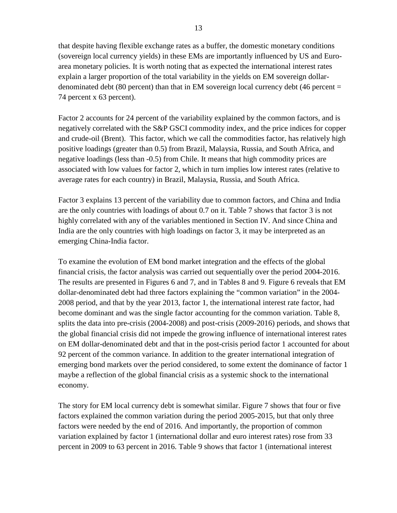that despite having flexible exchange rates as a buffer, the domestic monetary conditions (sovereign local currency yields) in these EMs are importantly influenced by US and Euroarea monetary policies. It is worth noting that as expected the international interest rates explain a larger proportion of the total variability in the yields on EM sovereign dollardenominated debt (80 percent) than that in EM sovereign local currency debt (46 percent  $=$ 74 percent x 63 percent).

Factor 2 accounts for 24 percent of the variability explained by the common factors, and is negatively correlated with the S&P GSCI commodity index, and the price indices for copper and crude-oil (Brent). This factor, which we call the commodities factor, has relatively high positive loadings (greater than 0.5) from Brazil, Malaysia, Russia, and South Africa, and negative loadings (less than -0.5) from Chile. It means that high commodity prices are associated with low values for factor 2, which in turn implies low interest rates (relative to average rates for each country) in Brazil, Malaysia, Russia, and South Africa.

Factor 3 explains 13 percent of the variability due to common factors, and China and India are the only countries with loadings of about 0.7 on it. Table 7 shows that factor 3 is not highly correlated with any of the variables mentioned in Section IV. And since China and India are the only countries with high loadings on factor 3, it may be interpreted as an emerging China-India factor.

To examine the evolution of EM bond market integration and the effects of the global financial crisis, the factor analysis was carried out sequentially over the period 2004-2016. The results are presented in Figures 6 and 7, and in Tables 8 and 9. Figure 6 reveals that EM dollar-denominated debt had three factors explaining the "common variation" in the 2004- 2008 period, and that by the year 2013, factor 1, the international interest rate factor, had become dominant and was the single factor accounting for the common variation. Table 8, splits the data into pre-crisis (2004-2008) and post-crisis (2009-2016) periods, and shows that the global financial crisis did not impede the growing influence of international interest rates on EM dollar-denominated debt and that in the post-crisis period factor 1 accounted for about 92 percent of the common variance. In addition to the greater international integration of emerging bond markets over the period considered, to some extent the dominance of factor 1 maybe a reflection of the global financial crisis as a systemic shock to the international economy.

The story for EM local currency debt is somewhat similar. Figure 7 shows that four or five factors explained the common variation during the period 2005-2015, but that only three factors were needed by the end of 2016. And importantly, the proportion of common variation explained by factor 1 (international dollar and euro interest rates) rose from 33 percent in 2009 to 63 percent in 2016. Table 9 shows that factor 1 (international interest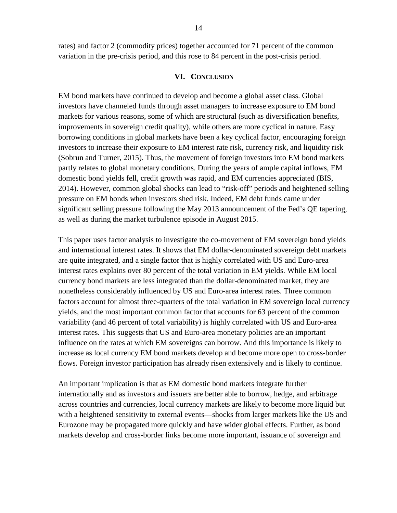rates) and factor 2 (commodity prices) together accounted for 71 percent of the common variation in the pre-crisis period, and this rose to 84 percent in the post-crisis period.

#### **VI. CONCLUSION**

<span id="page-14-0"></span>EM bond markets have continued to develop and become a global asset class. Global investors have channeled funds through asset managers to increase exposure to EM bond markets for various reasons, some of which are structural (such as diversification benefits, improvements in sovereign credit quality), while others are more cyclical in nature. Easy borrowing conditions in global markets have been a key cyclical factor, encouraging foreign investors to increase their exposure to EM interest rate risk, currency risk, and liquidity risk (Sobrun and Turner, 2015). Thus, the movement of foreign investors into EM bond markets partly relates to global monetary conditions. During the years of ample capital inflows, EM domestic bond yields fell, credit growth was rapid, and EM currencies appreciated (BIS, 2014). However, common global shocks can lead to "risk-off" periods and heightened selling pressure on EM bonds when investors shed risk. Indeed, EM debt funds came under significant selling pressure following the May 2013 announcement of the Fed's QE tapering, as well as during the market turbulence episode in August 2015.

This paper uses factor analysis to investigate the co-movement of EM sovereign bond yields and international interest rates. It shows that EM dollar-denominated sovereign debt markets are quite integrated, and a single factor that is highly correlated with US and Euro-area interest rates explains over 80 percent of the total variation in EM yields. While EM local currency bond markets are less integrated than the dollar-denominated market, they are nonetheless considerably influenced by US and Euro-area interest rates. Three common factors account for almost three-quarters of the total variation in EM sovereign local currency yields, and the most important common factor that accounts for 63 percent of the common variability (and 46 percent of total variability) is highly correlated with US and Euro-area interest rates. This suggests that US and Euro-area monetary policies are an important influence on the rates at which EM sovereigns can borrow. And this importance is likely to increase as local currency EM bond markets develop and become more open to cross-border flows. Foreign investor participation has already risen extensively and is likely to continue.

An important implication is that as EM domestic bond markets integrate further internationally and as investors and issuers are better able to borrow, hedge, and arbitrage across countries and currencies, local currency markets are likely to become more liquid but with a heightened sensitivity to external events—shocks from larger markets like the US and Eurozone may be propagated more quickly and have wider global effects. Further, as bond markets develop and cross-border links become more important, issuance of sovereign and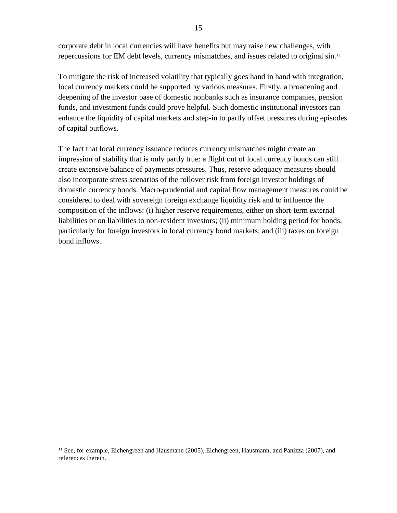corporate debt in local currencies will have benefits but may raise new challenges, with repercussions for EM debt levels, currency mismatches, and issues related to original sin.[11](#page-15-0)

To mitigate the risk of increased volatility that typically goes hand in hand with integration, local currency markets could be supported by various measures. Firstly, a broadening and deepening of the investor base of domestic nonbanks such as insurance companies, pension funds, and investment funds could prove helpful. Such domestic institutional investors can enhance the liquidity of capital markets and step-in to partly offset pressures during episodes of capital outflows.

The fact that local currency issuance reduces currency mismatches might create an impression of stability that is only partly true: a flight out of local currency bonds can still create extensive balance of payments pressures. Thus, reserve adequacy measures should also incorporate stress scenarios of the rollover risk from foreign investor holdings of domestic currency bonds. Macro-prudential and capital flow management measures could be considered to deal with sovereign foreign exchange liquidity risk and to influence the composition of the inflows: (i) higher reserve requirements, either on short-term external liabilities or on liabilities to non-resident investors; (ii) minimum holding period for bonds, particularly for foreign investors in local currency bond markets; and (iii) taxes on foreign bond inflows.

<span id="page-15-0"></span> $11$  See, for example, Eichengreen and Hausmann (2005), Eichengreen, Hausmann, and Panizza (2007), and references therein.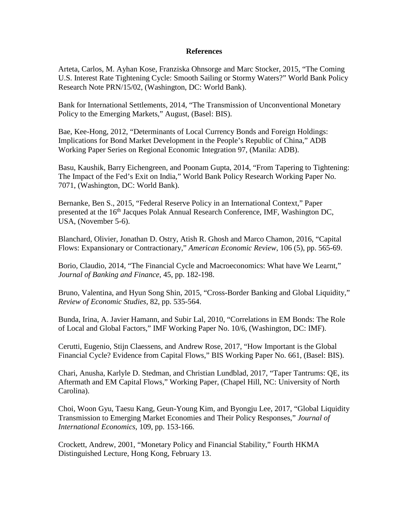#### **References**

Arteta, Carlos, M. Ayhan Kose, Franziska Ohnsorge and Marc Stocker, 2015, "The Coming U.S. Interest Rate Tightening Cycle: Smooth Sailing or Stormy Waters?" World Bank Policy Research Note PRN/15/02, (Washington, DC: World Bank).

Bank for International Settlements, 2014, "The Transmission of Unconventional Monetary Policy to the Emerging Markets," August, (Basel: BIS).

Bae, Kee-Hong, 2012, "Determinants of Local Currency Bonds and Foreign Holdings: Implications for Bond Market Development in the People's Republic of China," ADB Working Paper Series on Regional Economic Integration 97, (Manila: ADB).

Basu, Kaushik, Barry Eichengreen, and Poonam Gupta, 2014, "From Tapering to Tightening: The Impact of the Fed's Exit on India," World Bank Policy Research Working Paper No. 7071, (Washington, DC: World Bank).

Bernanke, Ben S., 2015, "Federal Reserve Policy in an International Context," Paper presented at the 16<sup>th</sup> Jacques Polak Annual Research Conference, IMF, Washington DC, USA, (November 5-6).

Blanchard, Olivier, Jonathan D. Ostry, Atish R. Ghosh and Marco Chamon, 2016, "Capital Flows: Expansionary or Contractionary," *American Economic Review*, 106 (5), pp. 565-69.

Borio, Claudio, 2014, "The Financial Cycle and Macroeconomics: What have We Learnt," *Journal of Banking and Finance*, 45, pp. 182-198.

Bruno, Valentina, and Hyun Song Shin, 2015, "Cross-Border Banking and Global Liquidity," *Review of Economic Studies*, 82, pp. 535-564.

Bunda, Irina, A. Javier Hamann, and Subir Lal, 2010, "Correlations in EM Bonds: The Role of Local and Global Factors," IMF Working Paper No. 10/6, (Washington, DC: IMF).

Cerutti, Eugenio, Stijn Claessens, and Andrew Rose, 2017, "How Important is the Global Financial Cycle? Evidence from Capital Flows," BIS Working Paper No. 661, (Basel: BIS).

Chari, Anusha, Karlyle D. Stedman, and Christian Lundblad, 2017, "Taper Tantrums: QE, its Aftermath and EM Capital Flows," Working Paper, (Chapel Hill, NC: University of North Carolina).

Choi, Woon Gyu, Taesu Kang, Geun-Young Kim, and Byongju Lee, 2017, "Global Liquidity Transmission to Emerging Market Economies and Their Policy Responses," *Journal of International Economics*, 109, pp. 153-166.

Crockett, Andrew, 2001, "Monetary Policy and Financial Stability," Fourth HKMA Distinguished Lecture, Hong Kong, February 13.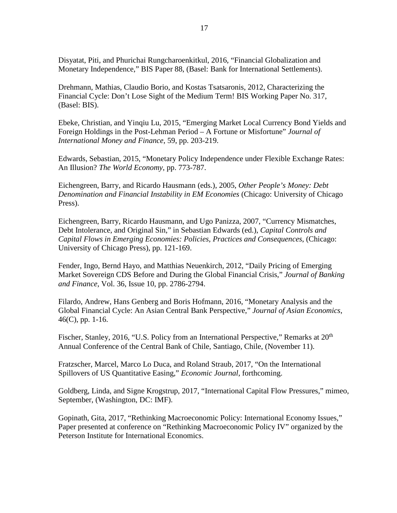Disyatat, Piti, and Phurichai Rungcharoenkitkul, 2016, "Financial Globalization and Monetary Independence," BIS Paper 88, (Basel: Bank for International Settlements).

Drehmann, Mathias, Claudio Borio, and Kostas Tsatsaronis, 2012, Characterizing the Financial Cycle: Don't Lose Sight of the Medium Term! BIS Working Paper No. 317, (Basel: BIS).

Ebeke, Christian, and Yinqiu Lu, 2015, "Emerging Market Local Currency Bond Yields and Foreign Holdings in the Post-Lehman Period – A Fortune or Misfortune" *Journal of International Money and Finance*, 59, pp. 203-219.

Edwards, Sebastian, 2015, "Monetary Policy Independence under Flexible Exchange Rates: An Illusion? *The World Economy*, pp. 773-787.

Eichengreen, Barry, and Ricardo Hausmann (eds.), 2005, *Other People's Money: Debt Denomination and Financial Instability in EM Economies* (Chicago: University of Chicago Press).

Eichengreen, Barry, Ricardo Hausmann, and Ugo Panizza, 2007, "Currency Mismatches, Debt Intolerance, and Original Sin," in Sebastian Edwards (ed.), *Capital Controls and Capital Flows in Emerging Economies: Policies, Practices and Consequences*, (Chicago: University of Chicago Press), pp. 121-169.

Fender, Ingo, Bernd Hayo, and Matthias Neuenkirch, 2012, "Daily Pricing of Emerging Market Sovereign CDS Before and During the Global Financial Crisis," *Journal of Banking and Finance*, Vol. 36, Issue 10, pp. 2786-2794.

Filardo, Andrew, Hans Genberg and Boris Hofmann, 2016, "Monetary Analysis and the Global Financial Cycle: An Asian Central Bank Perspective," *Journal of Asian Economics*,  $46(C)$ , pp. 1-16.

Fischer, Stanley, 2016, "U.S. Policy from an International Perspective," Remarks at 20<sup>th</sup> Annual Conference of the Central Bank of Chile, Santiago, Chile, (November 11).

Fratzscher, Marcel, Marco Lo Duca, and Roland Straub, 2017, "On the International Spillovers of US Quantitative Easing," *Economic Journal*, forthcoming.

Goldberg, Linda, and Signe Krogstrup, 2017, "International Capital Flow Pressures," mimeo, September, (Washington, DC: IMF).

Gopinath, Gita, 2017, "Rethinking Macroeconomic Policy: International Economy Issues," Paper presented at conference on "Rethinking Macroeconomic Policy IV" organized by the Peterson Institute for International Economics.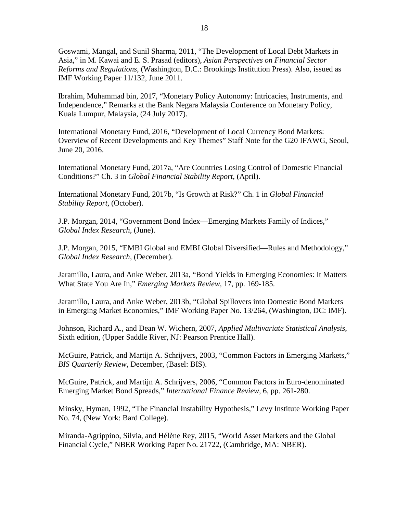Goswami, Mangal, and Sunil Sharma, 2011, "The Development of Local Debt Markets in Asia," in M. Kawai and E. S. Prasad (editors), *Asian Perspectives on Financial Sector Reforms and Regulations*, (Washington, D.C.: Brookings Institution Press). Also, issued as IMF Working Paper 11/132, June 2011.

Ibrahim, Muhammad bin, 2017, "Monetary Policy Autonomy: Intricacies, Instruments, and Independence," Remarks at the Bank Negara Malaysia Conference on Monetary Policy, Kuala Lumpur, Malaysia, (24 July 2017).

International Monetary Fund, 2016, "Development of Local Currency Bond Markets: Overview of Recent Developments and Key Themes" Staff Note for the G20 IFAWG, Seoul, June 20, 2016.

International Monetary Fund, 2017a, "Are Countries Losing Control of Domestic Financial Conditions?" Ch. 3 in *Global Financial Stability Report*, (April).

International Monetary Fund, 2017b, "Is Growth at Risk?" Ch. 1 in *Global Financial Stability Report*, (October).

J.P. Morgan, 2014, "Government Bond Index—Emerging Markets Family of Indices," *Global Index Research*, (June).

J.P. Morgan, 2015, "EMBI Global and EMBI Global Diversified—Rules and Methodology," *Global Index Research*, (December).

Jaramillo, Laura, and Anke Weber, 2013a, "Bond Yields in Emerging Economies: It Matters What State You Are In," *Emerging Markets Review,* 17, pp. 169-185.

Jaramillo, Laura, and Anke Weber, 2013b, "Global Spillovers into Domestic Bond Markets in Emerging Market Economies," IMF Working Paper No. 13/264, (Washington, DC: IMF).

Johnson, Richard A., and Dean W. Wichern, 2007, *Applied Multivariate Statistical Analysis*, Sixth edition, (Upper Saddle River, NJ: Pearson Prentice Hall).

McGuire, Patrick, and Martijn A. Schrijvers, 2003, "Common Factors in Emerging Markets," *BIS Quarterly Review*, December, (Basel: BIS).

McGuire, Patrick, and Martijn A. Schrijvers, 2006, "Common Factors in Euro-denominated Emerging Market Bond Spreads," *International Finance Review,* 6, pp. 261-280.

Minsky, Hyman, 1992, "The Financial Instability Hypothesis," Levy Institute Working Paper No. 74, (New York: Bard College).

Miranda-Agrippino, Silvia, and Hélène Rey, 2015, "World Asset Markets and the Global Financial Cycle," NBER Working Paper No. 21722, (Cambridge, MA: NBER).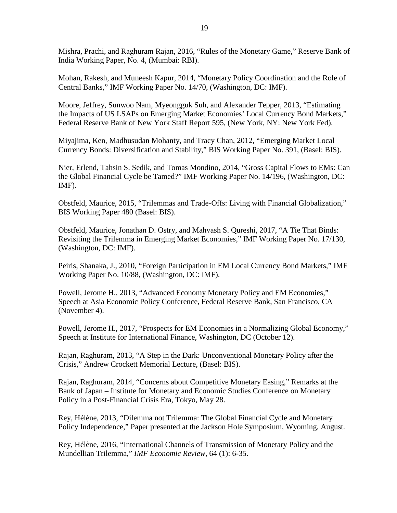Mishra, Prachi, and Raghuram Rajan, 2016, "Rules of the Monetary Game," Reserve Bank of India Working Paper, No. 4, (Mumbai: RBI).

Mohan, Rakesh, and Muneesh Kapur, 2014, "Monetary Policy Coordination and the Role of Central Banks," IMF Working Paper No. 14/70, (Washington, DC: IMF).

Moore, Jeffrey, Sunwoo Nam, Myeongguk Suh, and Alexander Tepper, 2013, "Estimating the Impacts of US LSAPs on Emerging Market Economies' Local Currency Bond Markets," Federal Reserve Bank of New York Staff Report 595, (New York, NY: New York Fed).

Miyajima, Ken, Madhusudan Mohanty, and Tracy Chan, 2012, "Emerging Market Local Currency Bonds: Diversification and Stability," BIS Working Paper No. 391, (Basel: BIS).

Nier, Erlend, Tahsin S. Sedik, and Tomas Mondino, 2014, "Gross Capital Flows to EMs: Can the Global Financial Cycle be Tamed?" IMF Working Paper No. 14/196, (Washington, DC: IMF).

Obstfeld, Maurice, 2015, "Trilemmas and Trade-Offs: Living with Financial Globalization," BIS Working Paper 480 (Basel: BIS).

Obstfeld, Maurice, Jonathan D. Ostry, and Mahvash S. Qureshi, 2017, "A Tie That Binds: Revisiting the Trilemma in Emerging Market Economies," IMF Working Paper No. 17/130, (Washington, DC: IMF).

Peiris, Shanaka, J., 2010, "Foreign Participation in EM Local Currency Bond Markets," IMF Working Paper No. 10/88, (Washington, DC: IMF).

Powell, Jerome H., 2013, "Advanced Economy Monetary Policy and EM Economies," Speech at Asia Economic Policy Conference, Federal Reserve Bank, San Francisco, CA (November 4).

Powell, Jerome H., 2017, "Prospects for EM Economies in a Normalizing Global Economy," Speech at Institute for International Finance, Washington, DC (October 12).

Rajan, Raghuram, 2013, "A Step in the Dark: Unconventional Monetary Policy after the Crisis," Andrew Crockett Memorial Lecture, (Basel: BIS).

Rajan, Raghuram, 2014, "Concerns about Competitive Monetary Easing," Remarks at the Bank of Japan – Institute for Monetary and Economic Studies Conference on Monetary Policy in a Post-Financial Crisis Era, Tokyo, May 28.

Rey, Hélène, 2013, "Dilemma not Trilemma: The Global Financial Cycle and Monetary Policy Independence," Paper presented at the Jackson Hole Symposium, Wyoming, August.

Rey, Hélène, 2016, "International Channels of Transmission of Monetary Policy and the Mundellian Trilemma," *IMF Economic Review*, 64 (1): 6-35.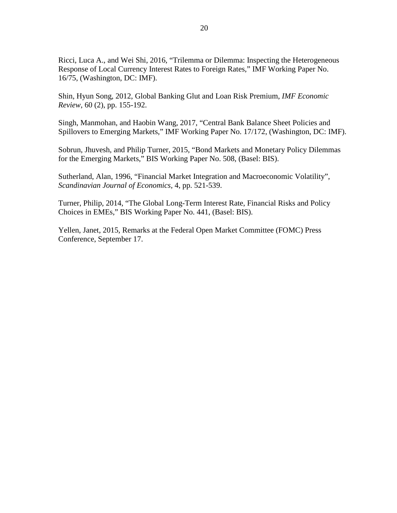Ricci, Luca A., and Wei Shi, 2016, "Trilemma or Dilemma: Inspecting the Heterogeneous Response of Local Currency Interest Rates to Foreign Rates," IMF Working Paper No. 16/75, (Washington, DC: IMF).

Shin, Hyun Song, 2012, Global Banking Glut and Loan Risk Premium, *IMF Economic Review*, 60 (2), pp. 155-192.

Singh, Manmohan, and Haobin Wang, 2017, "Central Bank Balance Sheet Policies and Spillovers to Emerging Markets," IMF Working Paper No. 17/172, (Washington, DC: IMF).

Sobrun, Jhuvesh, and Philip Turner, 2015, "Bond Markets and Monetary Policy Dilemmas for the Emerging Markets," BIS Working Paper No. 508, (Basel: BIS).

Sutherland, Alan, 1996, "Financial Market Integration and Macroeconomic Volatility", *Scandinavian Journal of Economics,* 4, pp. 521-539.

Turner, Philip, 2014, "The Global Long-Term Interest Rate, Financial Risks and Policy Choices in EMEs," BIS Working Paper No. 441, (Basel: BIS).

Yellen, Janet, 2015, Remarks at the Federal Open Market Committee (FOMC) Press Conference, September 17.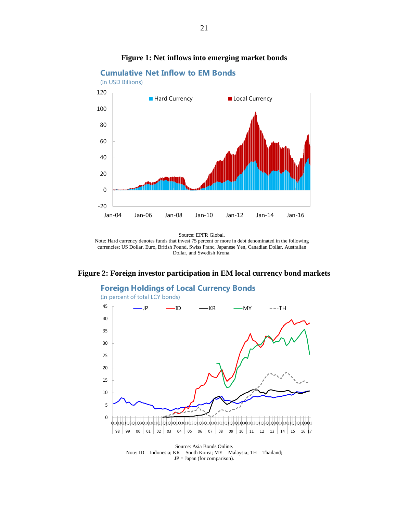<span id="page-21-0"></span>

#### **Figure 1: Net inflows into emerging market bonds**

Note: Hard currency denotes funds that invest 75 percent or more in debt denominated in the following currencies: US Dollar, Euro, British Pound, Swiss Franc, Japanese Yen, Canadian Dollar, Australian Dollar, and Swedish Krona.

#### <span id="page-21-1"></span>**Figure 2: Foreign investor participation in EM local currency bond markets**



Source: Asia Bonds Online. Note: ID = Indonesia; KR = South Korea; MY = Malaysia; TH = Thailand;  $JP = Japan$  (for comparison).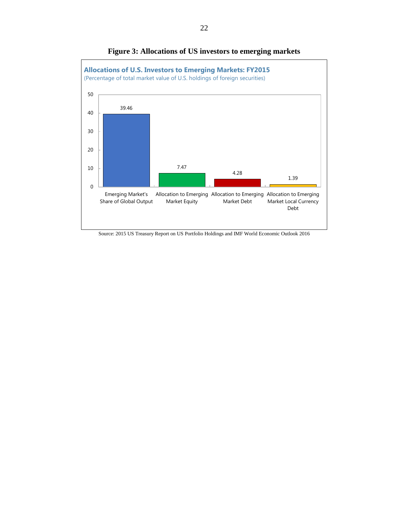<span id="page-22-0"></span>

**Figure 3: Allocations of US investors to emerging markets**

Source: 2015 US Treasury Report on US Portfolio Holdings and IMF World Economic Outlook 2016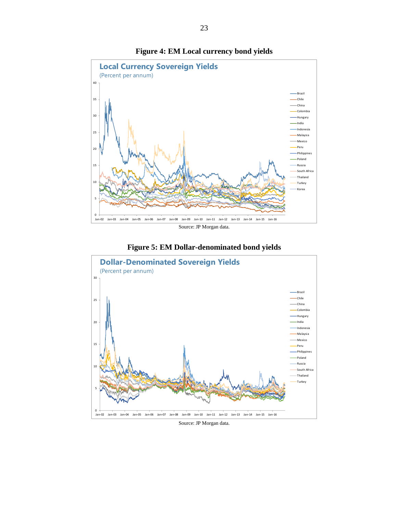<span id="page-23-0"></span>

#### **Figure 4: EM Local currency bond yields**



<span id="page-23-1"></span>

Source: JP Morgan data.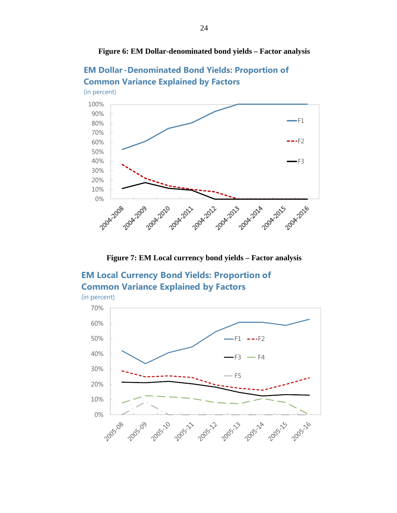<span id="page-24-0"></span>



<span id="page-24-1"></span>**EM Dollar -Denominated Bond Yields: Proportion of Common Variance Explained by Factors**

**Figure 7: EM Local currency bond yields – Factor analysis**

## **EM Local Currency Bond Yields: Proportion of Common Variance Explained by Factors**

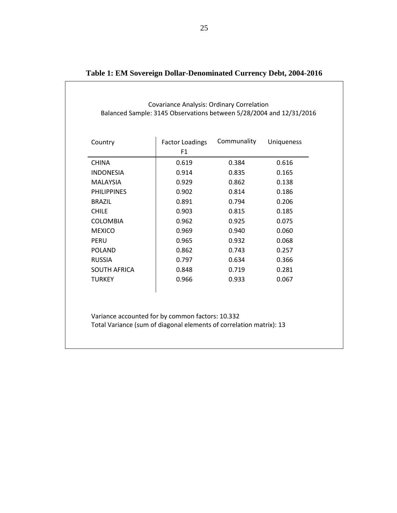| Country             | <b>Factor Loadings</b><br>F1 | Communality | <b>Uniqueness</b> |
|---------------------|------------------------------|-------------|-------------------|
| <b>CHINA</b>        | 0.619                        | 0.384       | 0.616             |
| <b>INDONESIA</b>    | 0.914                        | 0.835       | 0.165             |
| <b>MALAYSIA</b>     | 0.929                        | 0.862       | 0.138             |
| <b>PHILIPPINES</b>  | 0.902                        | 0.814       | 0.186             |
| <b>BRAZIL</b>       | 0.891                        | 0.794       | 0.206             |
| <b>CHILE</b>        | 0.903                        | 0.815       | 0.185             |
| <b>COLOMBIA</b>     | 0.962                        | 0.925       | 0.075             |
| <b>MEXICO</b>       | 0.969                        | 0.940       | 0.060             |
| PERU                | 0.965                        | 0.932       | 0.068             |
| <b>POLAND</b>       | 0.862                        | 0.743       | 0.257             |
| <b>RUSSIA</b>       | 0.797                        | 0.634       | 0.366             |
| <b>SOUTH AFRICA</b> | 0.848                        | 0.719       | 0.281             |
| <b>TURKEY</b>       | 0.966                        | 0.933       | 0.067             |

| Table 1: EM Sovereign Dollar-Denominated Currency Debt, 2004-2016 |  |  |  |
|-------------------------------------------------------------------|--|--|--|
|-------------------------------------------------------------------|--|--|--|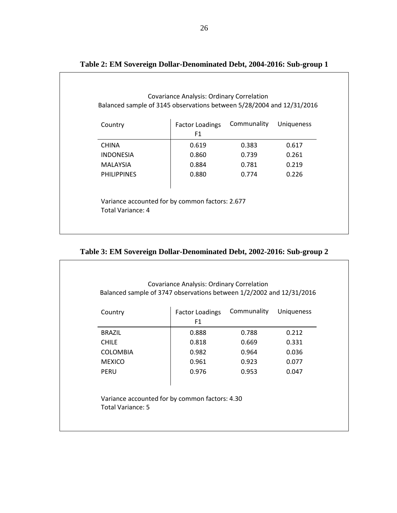| Country            | <b>Factor Loadings</b> | Communality | <b>Uniqueness</b> |
|--------------------|------------------------|-------------|-------------------|
|                    | F1                     |             |                   |
| <b>CHINA</b>       | 0.619                  | 0.383       | 0.617             |
| <b>INDONESIA</b>   | 0.860                  | 0.739       | 0.261             |
| <b>MALAYSIA</b>    | 0.884                  | 0.781       | 0.219             |
| <b>PHILIPPINES</b> | 0.880                  | 0.774       | 0.226             |

## **Table 2: EM Sovereign Dollar-Denominated Debt, 2004-2016: Sub-group 1**

## **Table 3: EM Sovereign Dollar-Denominated Debt, 2002-2016: Sub-group 2**

| Country                                                             | <b>Factor Loadings</b><br>F <sub>1</sub> | Communality | Uniqueness |
|---------------------------------------------------------------------|------------------------------------------|-------------|------------|
| <b>BRAZIL</b>                                                       | 0.888                                    | 0.788       | 0.212      |
| <b>CHILE</b>                                                        | 0.818                                    | 0.669       | 0.331      |
| <b>COLOMBIA</b>                                                     | 0.982                                    | 0.964       | 0.036      |
| <b>MEXICO</b>                                                       | 0.961                                    | 0.923       | 0.077      |
| <b>PERU</b>                                                         | 0.976                                    | 0.953       | 0.047      |
| Variance accounted for by common factors: 4.30<br>Total Variance: 5 |                                          |             |            |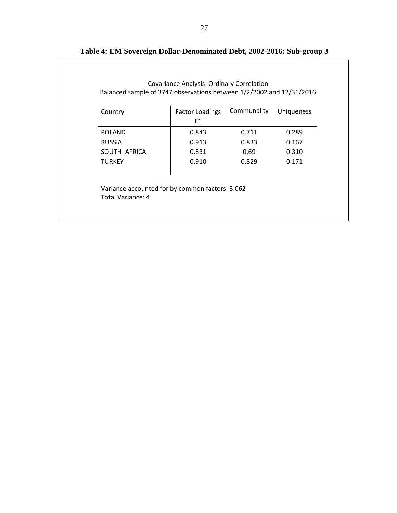| Country                                                              | <b>Factor Loadings</b> | Communality | Uniqueness |
|----------------------------------------------------------------------|------------------------|-------------|------------|
|                                                                      | F1                     |             |            |
| <b>POLAND</b>                                                        | 0.843                  | 0.711       | 0.289      |
| <b>RUSSIA</b>                                                        | 0.913                  | 0.833       | 0.167      |
| SOUTH_AFRICA                                                         | 0.831                  | 0.69        | 0.310      |
| <b>TURKEY</b>                                                        | 0.910                  | 0.829       | 0.171      |
| Variance accounted for by common factors: 3.062<br>Total Variance: 4 |                        |             |            |

## **Table 4: EM Sovereign Dollar-Denominated Debt, 2002-2016: Sub-group 3**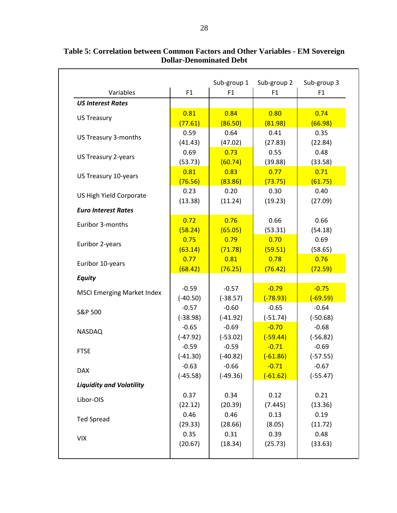|                                   |                       | Sub-group 1           | Sub-group 2           | Sub-group 3           |
|-----------------------------------|-----------------------|-----------------------|-----------------------|-----------------------|
| Variables                         | F1                    | F1                    | F1                    | F1                    |
| <b>US Interest Rates</b>          |                       |                       |                       |                       |
| <b>US Treasury</b>                | 0.81                  | 0.84                  | 0.80                  | 0.74                  |
|                                   | (77.61)               | (86.50)               | (81.98)               | (66.98)               |
| US Treasury 3-months              | 0.59                  | 0.64                  | 0.41                  | 0.35                  |
|                                   | (41.43)               | (47.02)               | (27.83)               | (22.84)               |
| US Treasury 2-years               | 0.69                  | 0.73                  | 0.55                  | 0.48                  |
|                                   | (53.73)               | (60.74)               | (39.88)               | (33.58)               |
| US Treasury 10-years              | 0.81                  | 0.83                  | 0.77                  | 0.71                  |
|                                   | (76.56)               | (83.86)               | (73.75)               | (61.75)               |
| US High Yield Corporate           | 0.23                  | 0.20                  | 0.30                  | 0.40                  |
|                                   | (13.38)               | (11.24)               | (19.23)               | (27.09)               |
| <b>Euro Interest Rates</b>        |                       |                       |                       |                       |
| Euribor 3-months                  | 0.72                  | 0.76                  | 0.66                  | 0.66                  |
|                                   | (58.24)               | (65.05)               | (53.31)               | (54.18)               |
| Euribor 2-years                   | 0.75                  | 0.79                  | 0.70                  | 0.69                  |
|                                   | (63.14)               | (71.78)               | (59.51)               | (58.65)               |
| Euribor 10-years                  | 0.77                  | 0.81                  | 0.78                  | 0.76                  |
|                                   | (68.42)               | (76.25)               | (76.42)               | (72.59)               |
| <b>Equity</b>                     |                       |                       |                       |                       |
| <b>MSCI Emerging Market Index</b> | $-0.59$               | $-0.57$               | $-0.79$               | $-0.75$               |
|                                   | $(-40.50)$            | $(-38.57)$            | $(-78.93)$            | $(-69.59)$            |
| S&P 500                           | $-0.57$               | $-0.60$               | $-0.65$               | $-0.64$               |
|                                   | $(-38.98)$            | $(-41.92)$            | $(-51.74)$            | $(-50.68)$            |
| <b>NASDAQ</b>                     | $-0.65$               | $-0.69$               | $-0.70$               | $-0.68$               |
|                                   | $(-47.92)$            | $(-53.02)$            | $(-59.44)$            | $(-56.82)$<br>$-0.69$ |
| <b>FTSE</b>                       | $-0.59$               | $-0.59$<br>$(-40.82)$ | $-0.71$<br>$(-61.86)$ |                       |
|                                   | $(-41.30)$<br>$-0.63$ | $-0.66$               | $-0.71$               | $(-57.55)$<br>$-0.67$ |
| <b>DAX</b>                        | $(-45.58)$            | $(-49.36)$            | $(-61.62)$            | $(-55.47)$            |
| <b>Liquidity and Volatility</b>   |                       |                       |                       |                       |
|                                   | 0.37                  | 0.34                  | 0.12                  | 0.21                  |
| Libor-OIS                         | (22.12)               | (20.39)               | (7.445)               | (13.36)               |
|                                   | 0.46                  | 0.46                  | 0.13                  | 0.19                  |
| <b>Ted Spread</b>                 | (29.33)               | (28.66)               | (8.05)                | (11.72)               |
|                                   | 0.35                  | 0.31                  | 0.39                  | 0.48                  |
| <b>VIX</b>                        | (20.67)               | (18.34)               | (25.73)               | (33.63)               |
|                                   |                       |                       |                       |                       |

**Table 5: Correlation between Common Factors and Other Variables - EM Sovereign Dollar-Denominated Debt**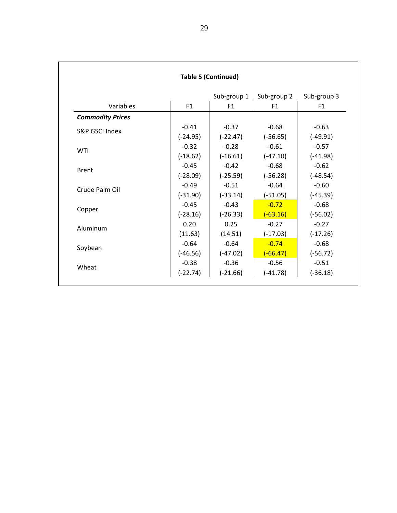|                         |            | <b>Table 5 (Continued)</b> |                |             |
|-------------------------|------------|----------------------------|----------------|-------------|
|                         |            | Sub-group 1                | Sub-group 2    | Sub-group 3 |
| Variables               | F1         | F <sub>1</sub>             | F <sub>1</sub> | F1          |
| <b>Commodity Prices</b> |            |                            |                |             |
| S&P GSCI Index          | $-0.41$    | $-0.37$                    | $-0.68$        | $-0.63$     |
|                         | $(-24.95)$ | $(-22.47)$                 | $(-56.65)$     | $(-49.91)$  |
| WTI                     | $-0.32$    | $-0.28$                    | $-0.61$        | $-0.57$     |
|                         | $(-18.62)$ | $(-16.61)$                 | $(-47.10)$     | $(-41.98)$  |
| <b>Brent</b>            | $-0.45$    | $-0.42$                    | $-0.68$        | $-0.62$     |
|                         | $(-28.09)$ | $(-25.59)$                 | $(-56.28)$     | $(-48.54)$  |
| Crude Palm Oil          | $-0.49$    | $-0.51$                    | $-0.64$        | $-0.60$     |
|                         | $(-31.90)$ | $(-33.14)$                 | $(-51.05)$     | $(-45.39)$  |
| Copper                  | $-0.45$    | $-0.43$                    | $-0.72$        | $-0.68$     |
|                         | $(-28.16)$ | $(-26.33)$                 | $(-63.16)$     | $(-56.02)$  |
| Aluminum                | 0.20       | 0.25                       | $-0.27$        | $-0.27$     |
|                         | (11.63)    | (14.51)                    | $(-17.03)$     | $(-17.26)$  |
| Soybean                 | $-0.64$    | $-0.64$                    | $-0.74$        | $-0.68$     |
|                         | $(-46.56)$ | $(-47.02)$                 | $(-66.47)$     | $(-56.72)$  |
| Wheat                   | $-0.38$    | $-0.36$                    | $-0.56$        | $-0.51$     |
|                         | (-22.74)   | $(-21.66)$                 | $(-41.78)$     | $(-36.18)$  |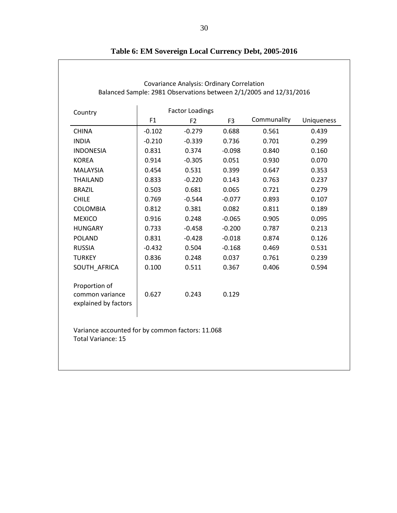| Country                                                  |          | <b>Factor Loadings</b> |                |             |            |
|----------------------------------------------------------|----------|------------------------|----------------|-------------|------------|
|                                                          | F1       | F <sub>2</sub>         | F <sub>3</sub> | Communality | Uniqueness |
| <b>CHINA</b>                                             | $-0.102$ | $-0.279$               | 0.688          | 0.561       | 0.439      |
| <b>INDIA</b>                                             | $-0.210$ | $-0.339$               | 0.736          | 0.701       | 0.299      |
| <b>INDONESIA</b>                                         | 0.831    | 0.374                  | $-0.098$       | 0.840       | 0.160      |
| <b>KOREA</b>                                             | 0.914    | $-0.305$               | 0.051          | 0.930       | 0.070      |
| <b>MALAYSIA</b>                                          | 0.454    | 0.531                  | 0.399          | 0.647       | 0.353      |
| <b>THAILAND</b>                                          | 0.833    | $-0.220$               | 0.143          | 0.763       | 0.237      |
| <b>BRAZIL</b>                                            | 0.503    | 0.681                  | 0.065          | 0.721       | 0.279      |
| <b>CHILE</b>                                             | 0.769    | $-0.544$               | $-0.077$       | 0.893       | 0.107      |
| <b>COLOMBIA</b>                                          | 0.812    | 0.381                  | 0.082          | 0.811       | 0.189      |
| <b>MEXICO</b>                                            | 0.916    | 0.248                  | $-0.065$       | 0.905       | 0.095      |
| <b>HUNGARY</b>                                           | 0.733    | $-0.458$               | $-0.200$       | 0.787       | 0.213      |
| <b>POLAND</b>                                            | 0.831    | $-0.428$               | $-0.018$       | 0.874       | 0.126      |
| <b>RUSSIA</b>                                            | $-0.432$ | 0.504                  | $-0.168$       | 0.469       | 0.531      |
| <b>TURKEY</b>                                            | 0.836    | 0.248                  | 0.037          | 0.761       | 0.239      |
| SOUTH AFRICA                                             | 0.100    | 0.511                  | 0.367          | 0.406       | 0.594      |
| Proportion of<br>common variance<br>explained by factors | 0.627    | 0.243                  | 0.129          |             |            |

|  |  |  |  |  |  | Table 6: EM Sovereign Local Currency Debt, 2005-2016 |  |  |  |
|--|--|--|--|--|--|------------------------------------------------------|--|--|--|
|  |  |  |  |  |  |                                                      |  |  |  |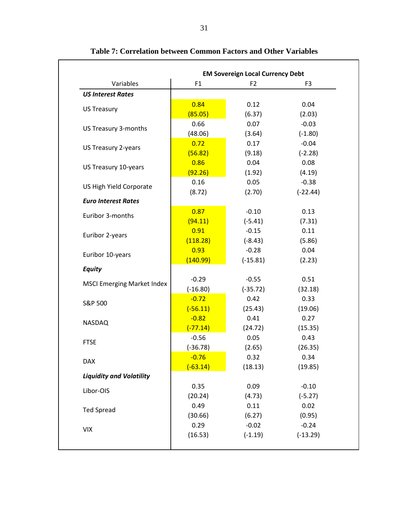|                                   |            | <b>EM Sovereign Local Currency Debt</b> |                |
|-----------------------------------|------------|-----------------------------------------|----------------|
| Variables                         | F1         | F <sub>2</sub>                          | F <sub>3</sub> |
| <b>US Interest Rates</b>          |            |                                         |                |
| <b>US Treasury</b>                | 0.84       | 0.12                                    | 0.04           |
|                                   | (85.05)    | (6.37)                                  | (2.03)         |
| US Treasury 3-months              | 0.66       | 0.07                                    | $-0.03$        |
|                                   | (48.06)    | (3.64)                                  | $(-1.80)$      |
| US Treasury 2-years               | 0.72       | 0.17                                    | $-0.04$        |
|                                   | (56.82)    | (9.18)                                  | $(-2.28)$      |
| US Treasury 10-years              | 0.86       | 0.04                                    | 0.08           |
|                                   | (92.26)    | (1.92)                                  | (4.19)         |
|                                   | 0.16       | 0.05                                    | $-0.38$        |
| US High Yield Corporate           | (8.72)     | (2.70)                                  | $(-22.44)$     |
| <b>Euro Interest Rates</b>        |            |                                         |                |
| Euribor 3-months                  | 0.87       | $-0.10$                                 | 0.13           |
|                                   | (94.11)    | $(-5.41)$                               | (7.31)         |
|                                   | 0.91       | $-0.15$                                 | 0.11           |
| Euribor 2-years                   | (118.28)   | $(-8.43)$                               | (5.86)         |
|                                   | 0.93       | $-0.28$                                 | 0.04           |
| Euribor 10-years                  | (140.99)   | $(-15.81)$                              | (2.23)         |
| <b>Equity</b>                     |            |                                         |                |
|                                   | $-0.29$    | $-0.55$                                 | 0.51           |
| <b>MSCI Emerging Market Index</b> | $(-16.80)$ | $(-35.72)$                              | (32.18)        |
|                                   | $-0.72$    | 0.42                                    | 0.33           |
| S&P 500                           | $(-56.11)$ | (25.43)                                 | (19.06)        |
|                                   | $-0.82$    | 0.41                                    | 0.27           |
| <b>NASDAQ</b>                     | $(-77.14)$ | (24.72)                                 | (15.35)        |
|                                   | $-0.56$    | 0.05                                    | 0.43           |
| <b>FTSE</b>                       | $(-36.78)$ | (2.65)                                  | (26.35)        |
|                                   | $-0.76$    | 0.32                                    | 0.34           |
| <b>DAX</b>                        | $(-63.14)$ | (18.13)                                 | (19.85)        |
| <b>Liquidity and Volatility</b>   |            |                                         |                |
|                                   | 0.35       | 0.09                                    | $-0.10$        |
| Libor-OIS                         | (20.24)    | (4.73)                                  | $(-5.27)$      |
|                                   | 0.49       | 0.11                                    | 0.02           |
| <b>Ted Spread</b>                 | (30.66)    | (6.27)                                  | (0.95)         |
|                                   | 0.29       | $-0.02$                                 | $-0.24$        |
| <b>VIX</b>                        | (16.53)    | $(-1.19)$                               | $(-13.29)$     |

**Table 7: Correlation between Common Factors and Other Variables**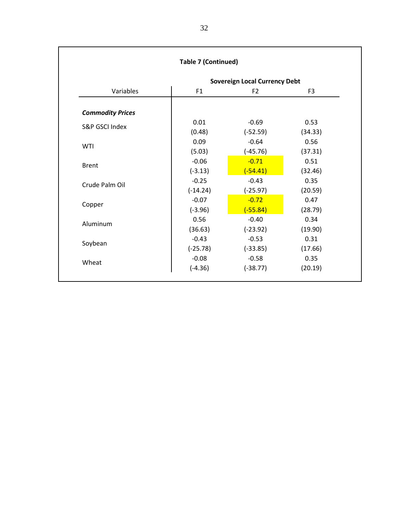|                         | <b>Sovereign Local Currency Debt</b> |                                                                                                                                                    |                |  |
|-------------------------|--------------------------------------|----------------------------------------------------------------------------------------------------------------------------------------------------|----------------|--|
| Variables               | F1                                   | F <sub>2</sub>                                                                                                                                     | F <sub>3</sub> |  |
| <b>Commodity Prices</b> |                                      |                                                                                                                                                    |                |  |
| S&P GSCI Index          | 0.01                                 | $-0.69$                                                                                                                                            | 0.53           |  |
|                         | (0.48)                               | $(-52.59)$<br>$-0.64$<br>$(-45.76)$<br>$-0.71$<br>$(-54.41)$<br>$-0.43$<br>$(-25.97)$<br>$-0.72$<br>$(-55.84)$<br>$-0.40$<br>$(-23.92)$<br>$-0.53$ | (34.33)        |  |
| WTI                     | 0.09                                 |                                                                                                                                                    | 0.56           |  |
|                         | (5.03)                               |                                                                                                                                                    | (37.31)        |  |
| <b>Brent</b>            | $-0.06$                              |                                                                                                                                                    | 0.51           |  |
|                         | $(-3.13)$                            |                                                                                                                                                    | (32.46)        |  |
| Crude Palm Oil          | $-0.25$                              |                                                                                                                                                    | 0.35           |  |
|                         | $(-14.24)$                           | $(-33.85)$                                                                                                                                         | (20.59)        |  |
| Copper                  | $-0.07$                              |                                                                                                                                                    | 0.47           |  |
|                         | $(-3.96)$                            |                                                                                                                                                    | (28.79)        |  |
| Aluminum                | 0.56                                 |                                                                                                                                                    | 0.34           |  |
|                         | (36.63)                              |                                                                                                                                                    | (19.90)        |  |
|                         | $-0.43$                              |                                                                                                                                                    | 0.31           |  |
| Soybean                 | $(-25.78)$                           |                                                                                                                                                    | (17.66)        |  |
| Wheat                   | $-0.08$                              | $-0.58$                                                                                                                                            | 0.35           |  |
|                         | $(-4.36)$                            | $(-38.77)$                                                                                                                                         | (20.19)        |  |